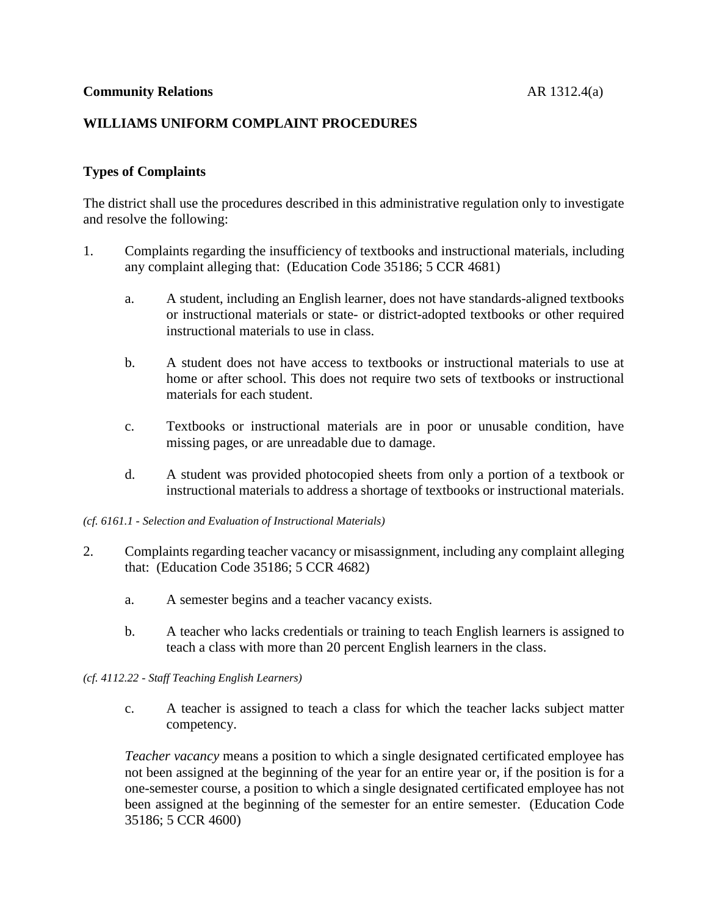### **Types of Complaints**

The district shall use the procedures described in this administrative regulation only to investigate and resolve the following:

- 1. Complaints regarding the insufficiency of textbooks and instructional materials, including any complaint alleging that: (Education Code 35186; 5 CCR 4681)
	- a. A student, including an English learner, does not have standards-aligned textbooks or instructional materials or state- or district-adopted textbooks or other required instructional materials to use in class.
	- b. A student does not have access to textbooks or instructional materials to use at home or after school. This does not require two sets of textbooks or instructional materials for each student.
	- c. Textbooks or instructional materials are in poor or unusable condition, have missing pages, or are unreadable due to damage.
	- d. A student was provided photocopied sheets from only a portion of a textbook or instructional materials to address a shortage of textbooks or instructional materials.

*(cf. 6161.1 - Selection and Evaluation of Instructional Materials)*

- 2. Complaints regarding teacher vacancy or misassignment, including any complaint alleging that: (Education Code 35186; 5 CCR 4682)
	- a. A semester begins and a teacher vacancy exists.
	- b. A teacher who lacks credentials or training to teach English learners is assigned to teach a class with more than 20 percent English learners in the class.

#### *(cf. 4112.22 - Staff Teaching English Learners)*

c. A teacher is assigned to teach a class for which the teacher lacks subject matter competency.

*Teacher vacancy* means a position to which a single designated certificated employee has not been assigned at the beginning of the year for an entire year or, if the position is for a one-semester course, a position to which a single designated certificated employee has not been assigned at the beginning of the semester for an entire semester. (Education Code 35186; 5 CCR 4600)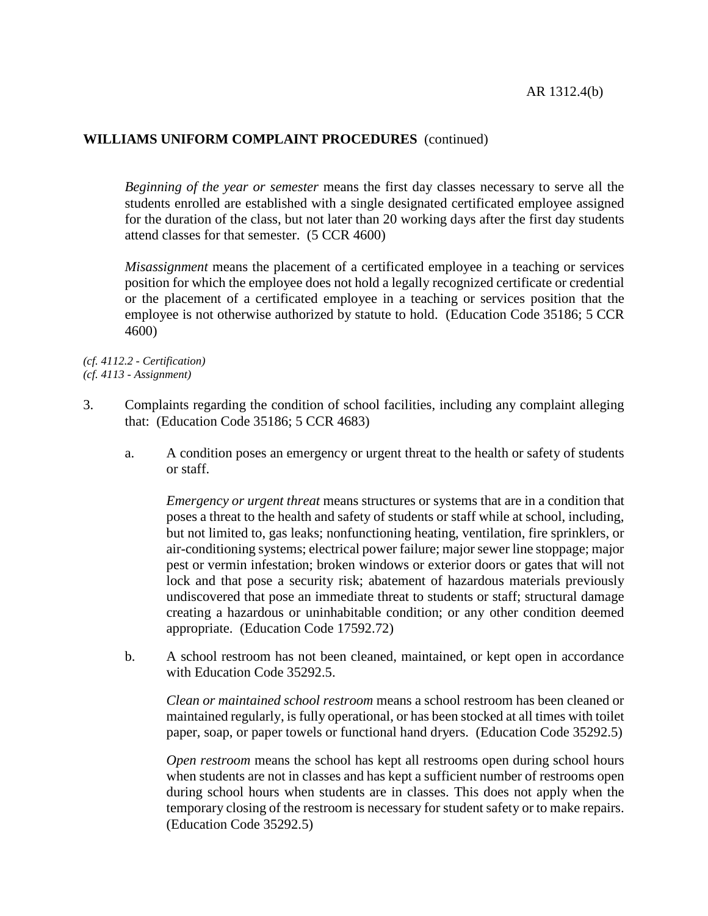*Beginning of the year or semester* means the first day classes necessary to serve all the students enrolled are established with a single designated certificated employee assigned for the duration of the class, but not later than 20 working days after the first day students attend classes for that semester. (5 CCR 4600)

*Misassignment* means the placement of a certificated employee in a teaching or services position for which the employee does not hold a legally recognized certificate or credential or the placement of a certificated employee in a teaching or services position that the employee is not otherwise authorized by statute to hold. (Education Code 35186; 5 CCR 4600)

*(cf. 4112.2 - Certification) (cf. 4113 - Assignment)*

- 3. Complaints regarding the condition of school facilities, including any complaint alleging that: (Education Code 35186; 5 CCR 4683)
	- a. A condition poses an emergency or urgent threat to the health or safety of students or staff.

*Emergency or urgent threat* means structures or systems that are in a condition that poses a threat to the health and safety of students or staff while at school, including, but not limited to, gas leaks; nonfunctioning heating, ventilation, fire sprinklers, or air-conditioning systems; electrical power failure; major sewer line stoppage; major pest or vermin infestation; broken windows or exterior doors or gates that will not lock and that pose a security risk; abatement of hazardous materials previously undiscovered that pose an immediate threat to students or staff; structural damage creating a hazardous or uninhabitable condition; or any other condition deemed appropriate. (Education Code 17592.72)

b. A school restroom has not been cleaned, maintained, or kept open in accordance with Education Code 35292.5.

*Clean or maintained school restroom* means a school restroom has been cleaned or maintained regularly, is fully operational, or has been stocked at all times with toilet paper, soap, or paper towels or functional hand dryers. (Education Code 35292.5)

*Open restroom* means the school has kept all restrooms open during school hours when students are not in classes and has kept a sufficient number of restrooms open during school hours when students are in classes. This does not apply when the temporary closing of the restroom is necessary for student safety or to make repairs. (Education Code 35292.5)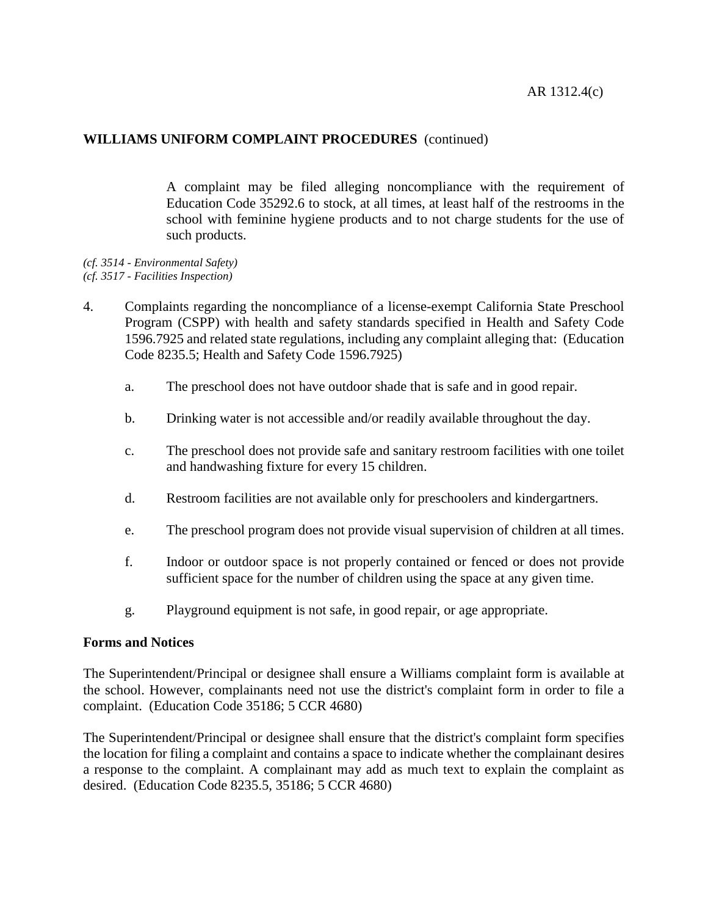A complaint may be filed alleging noncompliance with the requirement of Education Code 35292.6 to stock, at all times, at least half of the restrooms in the school with feminine hygiene products and to not charge students for the use of such products.

- *(cf. 3514 - Environmental Safety) (cf. 3517 - Facilities Inspection)*
- 4. Complaints regarding the noncompliance of a license-exempt California State Preschool Program (CSPP) with health and safety standards specified in Health and Safety Code 1596.7925 and related state regulations, including any complaint alleging that: (Education Code 8235.5; Health and Safety Code 1596.7925)
	- a. The preschool does not have outdoor shade that is safe and in good repair.
	- b. Drinking water is not accessible and/or readily available throughout the day.
	- c. The preschool does not provide safe and sanitary restroom facilities with one toilet and handwashing fixture for every 15 children.
	- d. Restroom facilities are not available only for preschoolers and kindergartners.
	- e. The preschool program does not provide visual supervision of children at all times.
	- f. Indoor or outdoor space is not properly contained or fenced or does not provide sufficient space for the number of children using the space at any given time.
	- g. Playground equipment is not safe, in good repair, or age appropriate.

#### **Forms and Notices**

The Superintendent/Principal or designee shall ensure a Williams complaint form is available at the school. However, complainants need not use the district's complaint form in order to file a complaint. (Education Code 35186; 5 CCR 4680)

The Superintendent/Principal or designee shall ensure that the district's complaint form specifies the location for filing a complaint and contains a space to indicate whether the complainant desires a response to the complaint. A complainant may add as much text to explain the complaint as desired. (Education Code 8235.5, 35186; 5 CCR 4680)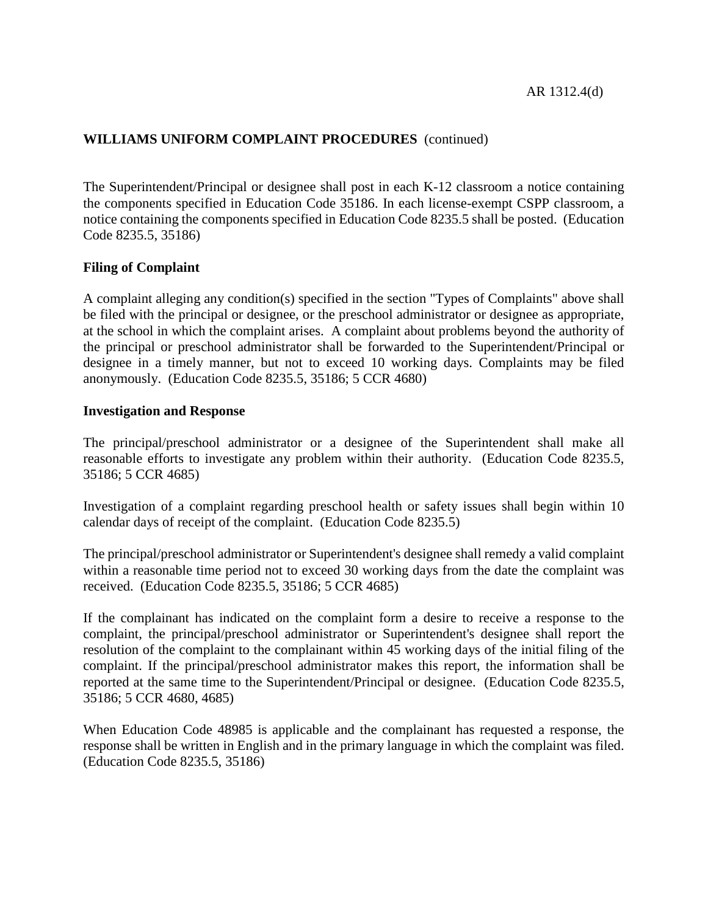The Superintendent/Principal or designee shall post in each K-12 classroom a notice containing the components specified in Education Code 35186. In each license-exempt CSPP classroom, a notice containing the components specified in Education Code 8235.5 shall be posted. (Education Code 8235.5, 35186)

### **Filing of Complaint**

A complaint alleging any condition(s) specified in the section "Types of Complaints" above shall be filed with the principal or designee, or the preschool administrator or designee as appropriate, at the school in which the complaint arises. A complaint about problems beyond the authority of the principal or preschool administrator shall be forwarded to the Superintendent/Principal or designee in a timely manner, but not to exceed 10 working days. Complaints may be filed anonymously. (Education Code 8235.5, 35186; 5 CCR 4680)

#### **Investigation and Response**

The principal/preschool administrator or a designee of the Superintendent shall make all reasonable efforts to investigate any problem within their authority. (Education Code 8235.5, 35186; 5 CCR 4685)

Investigation of a complaint regarding preschool health or safety issues shall begin within 10 calendar days of receipt of the complaint. (Education Code 8235.5)

The principal/preschool administrator or Superintendent's designee shall remedy a valid complaint within a reasonable time period not to exceed 30 working days from the date the complaint was received. (Education Code 8235.5, 35186; 5 CCR 4685)

If the complainant has indicated on the complaint form a desire to receive a response to the complaint, the principal/preschool administrator or Superintendent's designee shall report the resolution of the complaint to the complainant within 45 working days of the initial filing of the complaint. If the principal/preschool administrator makes this report, the information shall be reported at the same time to the Superintendent/Principal or designee. (Education Code 8235.5, 35186; 5 CCR 4680, 4685)

When Education Code 48985 is applicable and the complainant has requested a response, the response shall be written in English and in the primary language in which the complaint was filed. (Education Code 8235.5, 35186)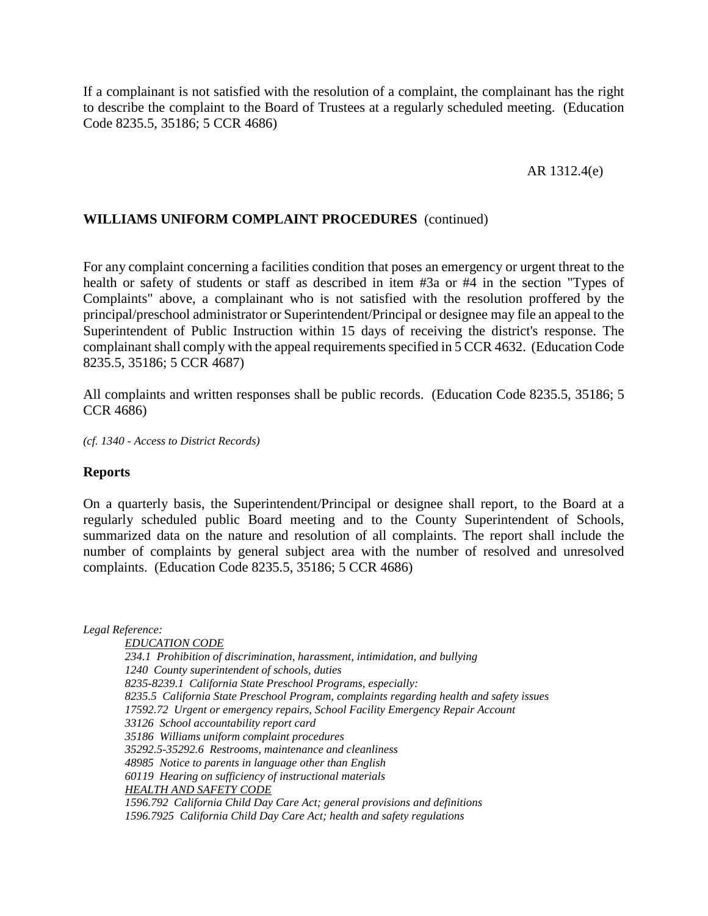If a complainant is not satisfied with the resolution of a complaint, the complainant has the right to describe the complaint to the Board of Trustees at a regularly scheduled meeting. (Education Code 8235.5, 35186; 5 CCR 4686)

#### AR 1312.4(e)

#### **WILLIAMS UNIFORM COMPLAINT PROCEDURES** (continued)

For any complaint concerning a facilities condition that poses an emergency or urgent threat to the health or safety of students or staff as described in item #3a or #4 in the section "Types of Complaints" above, a complainant who is not satisfied with the resolution proffered by the principal/preschool administrator or Superintendent/Principal or designee may file an appeal to the Superintendent of Public Instruction within 15 days of receiving the district's response. The complainant shall comply with the appeal requirements specified in 5 CCR 4632. (Education Code 8235.5, 35186; 5 CCR 4687)

All complaints and written responses shall be public records. (Education Code 8235.5, 35186; 5 CCR 4686)

*(cf. 1340 - Access to District Records)*

#### **Reports**

On a quarterly basis, the Superintendent/Principal or designee shall report, to the Board at a regularly scheduled public Board meeting and to the County Superintendent of Schools, summarized data on the nature and resolution of all complaints. The report shall include the number of complaints by general subject area with the number of resolved and unresolved complaints. (Education Code 8235.5, 35186; 5 CCR 4686)

*Legal Reference:*

*EDUCATION CODE 234.1 Prohibition of discrimination, harassment, intimidation, and bullying 1240 County superintendent of schools, duties 8235-8239.1 California State Preschool Programs, especially: 8235.5 California State Preschool Program, complaints regarding health and safety issues 17592.72 Urgent or emergency repairs, School Facility Emergency Repair Account 33126 School accountability report card 35186 Williams uniform complaint procedures 35292.5-35292.6 Restrooms, maintenance and cleanliness 48985 Notice to parents in language other than English 60119 Hearing on sufficiency of instructional materials HEALTH AND SAFETY CODE 1596.792 California Child Day Care Act; general provisions and definitions 1596.7925 California Child Day Care Act; health and safety regulations*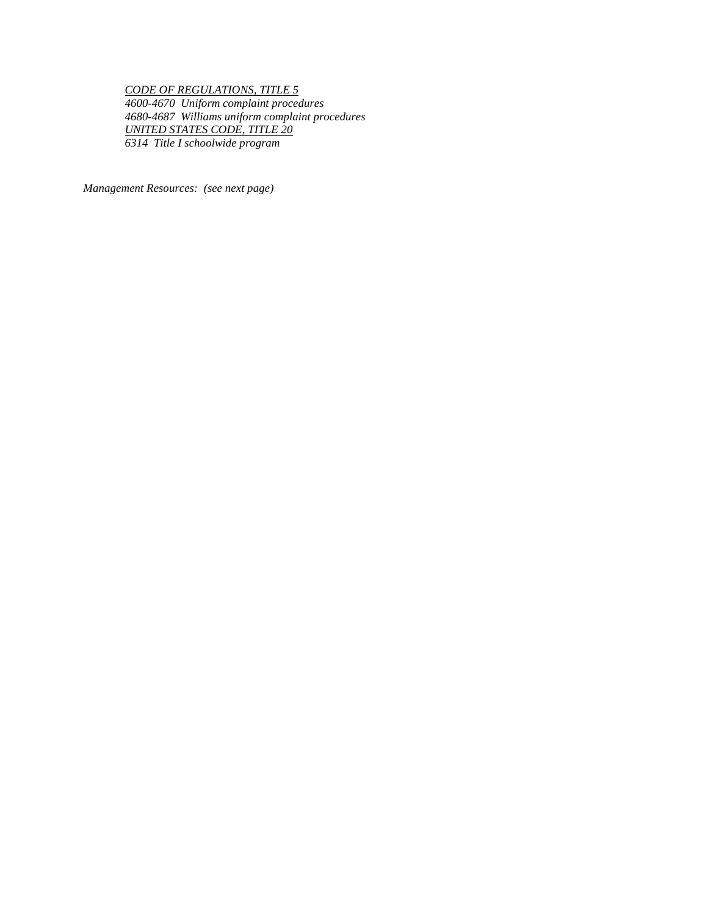*CODE OF REGULATIONS, TITLE 5 4600-4670 Uniform complaint procedures 4680-4687 Williams uniform complaint procedures UNITED STATES CODE, TITLE 20 6314 Title I schoolwide program*

*Management Resources: (see next page)*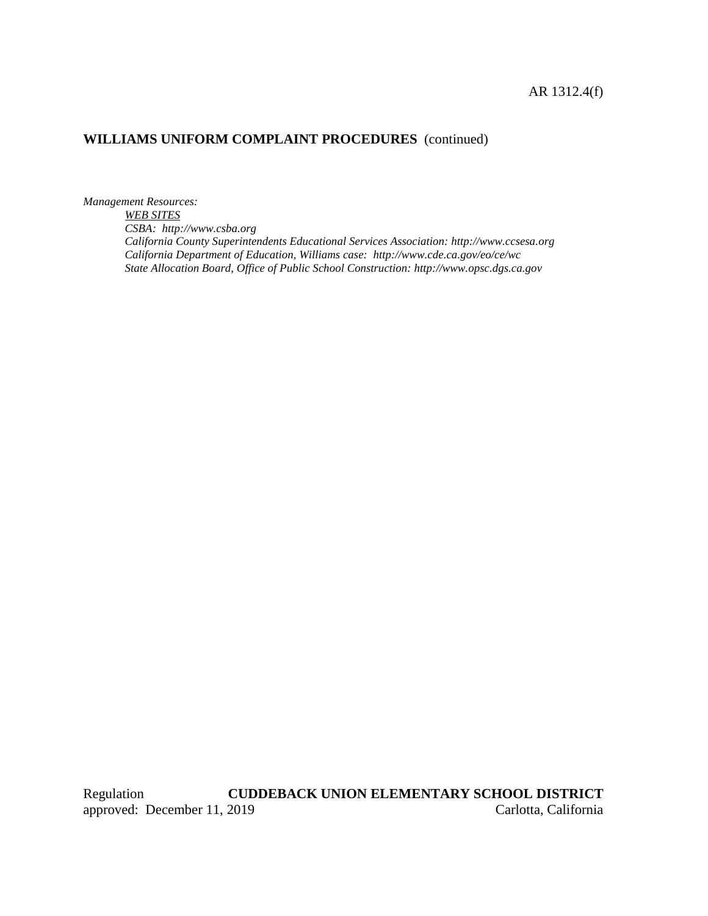#### AR 1312.4(f)

# **WILLIAMS UNIFORM COMPLAINT PROCEDURES** (continued)

*Management Resources:*

*WEB SITES CSBA: http://www.csba.org California County Superintendents Educational Services Association: http://www.ccsesa.org California Department of Education, Williams case: http://www.cde.ca.gov/eo/ce/wc State Allocation Board, Office of Public School Construction: http://www.opsc.dgs.ca.gov*

Regulation **CUDDEBACK UNION ELEMENTARY SCHOOL DISTRICT** approved: December 11, 2019 Carlotta, California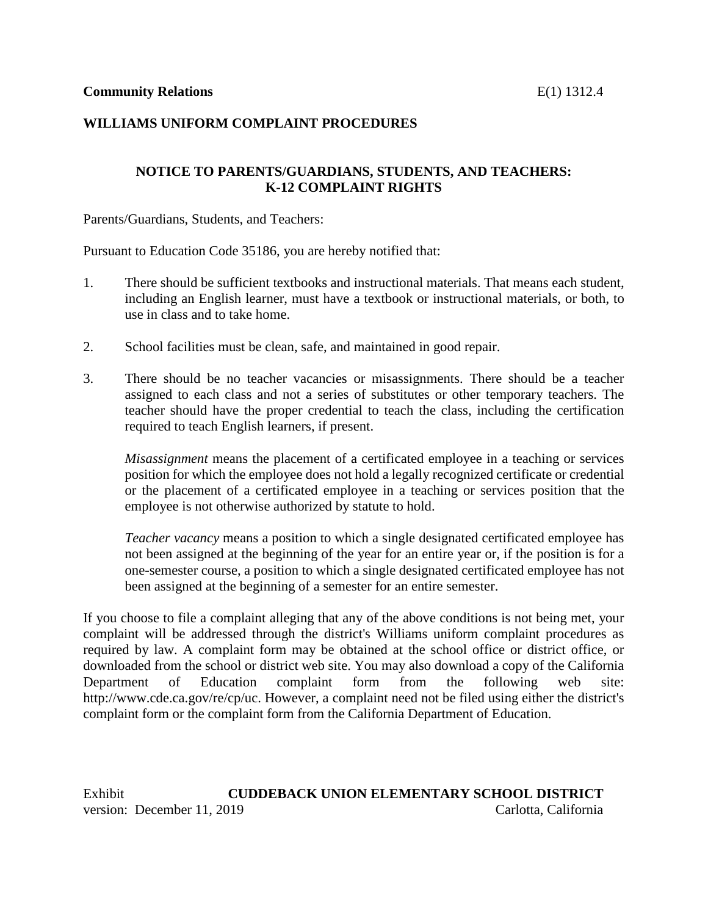### **NOTICE TO PARENTS/GUARDIANS, STUDENTS, AND TEACHERS: K-12 COMPLAINT RIGHTS**

Parents/Guardians, Students, and Teachers:

Pursuant to Education Code 35186, you are hereby notified that:

- 1. There should be sufficient textbooks and instructional materials. That means each student, including an English learner, must have a textbook or instructional materials, or both, to use in class and to take home.
- 2. School facilities must be clean, safe, and maintained in good repair.
- 3. There should be no teacher vacancies or misassignments. There should be a teacher assigned to each class and not a series of substitutes or other temporary teachers. The teacher should have the proper credential to teach the class, including the certification required to teach English learners, if present.

*Misassignment* means the placement of a certificated employee in a teaching or services position for which the employee does not hold a legally recognized certificate or credential or the placement of a certificated employee in a teaching or services position that the employee is not otherwise authorized by statute to hold.

*Teacher vacancy* means a position to which a single designated certificated employee has not been assigned at the beginning of the year for an entire year or, if the position is for a one-semester course, a position to which a single designated certificated employee has not been assigned at the beginning of a semester for an entire semester.

If you choose to file a complaint alleging that any of the above conditions is not being met, your complaint will be addressed through the district's Williams uniform complaint procedures as required by law. A complaint form may be obtained at the school office or district office, or downloaded from the school or district web site. You may also download a copy of the California Department of Education complaint form from the following web site: http://www.cde.ca.gov/re/cp/uc. However, a complaint need not be filed using either the district's complaint form or the complaint form from the California Department of Education.

Exhibit **CUDDEBACK UNION ELEMENTARY SCHOOL DISTRICT** version: December 11, 2019 Carlotta, California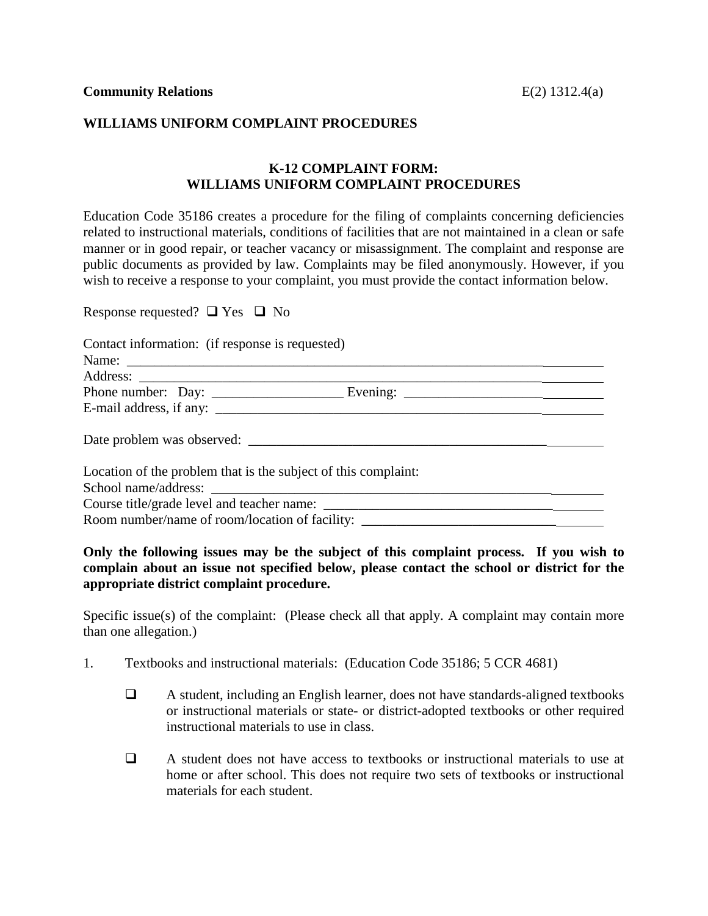#### **K-12 COMPLAINT FORM: WILLIAMS UNIFORM COMPLAINT PROCEDURES**

Education Code 35186 creates a procedure for the filing of complaints concerning deficiencies related to instructional materials, conditions of facilities that are not maintained in a clean or safe manner or in good repair, or teacher vacancy or misassignment. The complaint and response are public documents as provided by law. Complaints may be filed anonymously. However, if you wish to receive a response to your complaint, you must provide the contact information below.

Response requested?  $\Box$  Yes  $\Box$  No

Contact information: (if response is requested)

| Location of the problem that is the subject of this complaint: |  |  |
|----------------------------------------------------------------|--|--|
|                                                                |  |  |
|                                                                |  |  |
| Room number/name of room/location of facility:                 |  |  |

**Only the following issues may be the subject of this complaint process. If you wish to complain about an issue not specified below, please contact the school or district for the appropriate district complaint procedure.**

Specific issue(s) of the complaint: (Please check all that apply. A complaint may contain more than one allegation.)

- 1. Textbooks and instructional materials: (Education Code 35186; 5 CCR 4681)
	- A student, including an English learner, does not have standards-aligned textbooks or instructional materials or state- or district-adopted textbooks or other required instructional materials to use in class.
	- $\Box$  A student does not have access to textbooks or instructional materials to use at home or after school. This does not require two sets of textbooks or instructional materials for each student.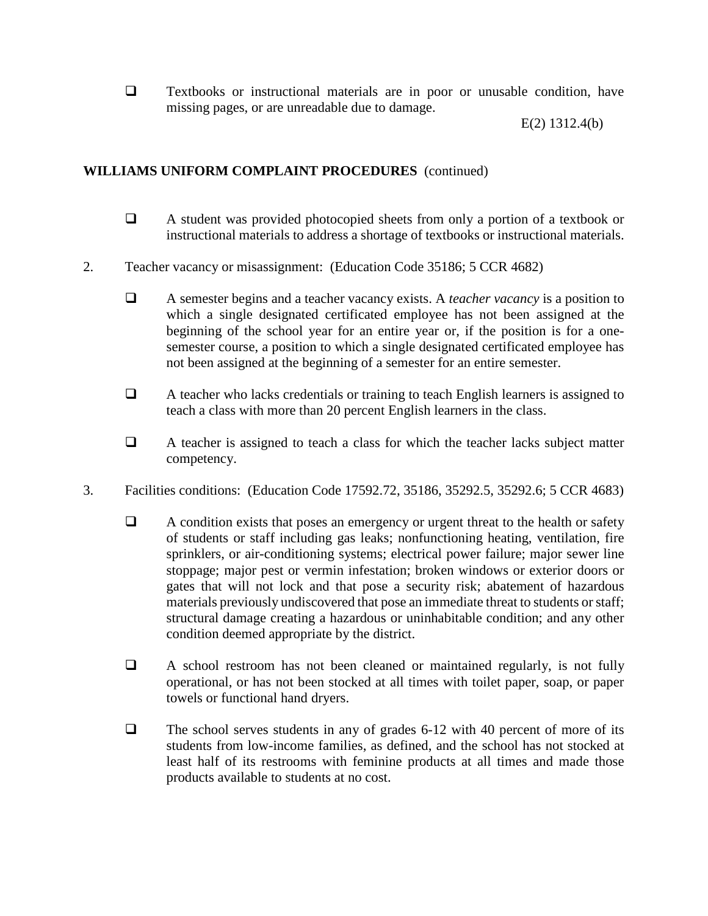$\Box$  Textbooks or instructional materials are in poor or unusable condition, have missing pages, or are unreadable due to damage.

E(2) 1312.4(b)

## **WILLIAMS UNIFORM COMPLAINT PROCEDURES** (continued)

- A student was provided photocopied sheets from only a portion of a textbook or instructional materials to address a shortage of textbooks or instructional materials.
- 2. Teacher vacancy or misassignment: (Education Code 35186; 5 CCR 4682)
	- A semester begins and a teacher vacancy exists. A *teacher vacancy* is a position to which a single designated certificated employee has not been assigned at the beginning of the school year for an entire year or, if the position is for a onesemester course, a position to which a single designated certificated employee has not been assigned at the beginning of a semester for an entire semester.
	- A teacher who lacks credentials or training to teach English learners is assigned to teach a class with more than 20 percent English learners in the class.
	- $\Box$  A teacher is assigned to teach a class for which the teacher lacks subject matter competency.
- 3. Facilities conditions: (Education Code 17592.72, 35186, 35292.5, 35292.6; 5 CCR 4683)
	- $\Box$  A condition exists that poses an emergency or urgent threat to the health or safety of students or staff including gas leaks; nonfunctioning heating, ventilation, fire sprinklers, or air-conditioning systems; electrical power failure; major sewer line stoppage; major pest or vermin infestation; broken windows or exterior doors or gates that will not lock and that pose a security risk; abatement of hazardous materials previously undiscovered that pose an immediate threat to students or staff; structural damage creating a hazardous or uninhabitable condition; and any other condition deemed appropriate by the district.
	- A school restroom has not been cleaned or maintained regularly, is not fully operational, or has not been stocked at all times with toilet paper, soap, or paper towels or functional hand dryers.
	- $\Box$  The school serves students in any of grades 6-12 with 40 percent of more of its students from low-income families, as defined, and the school has not stocked at least half of its restrooms with feminine products at all times and made those products available to students at no cost.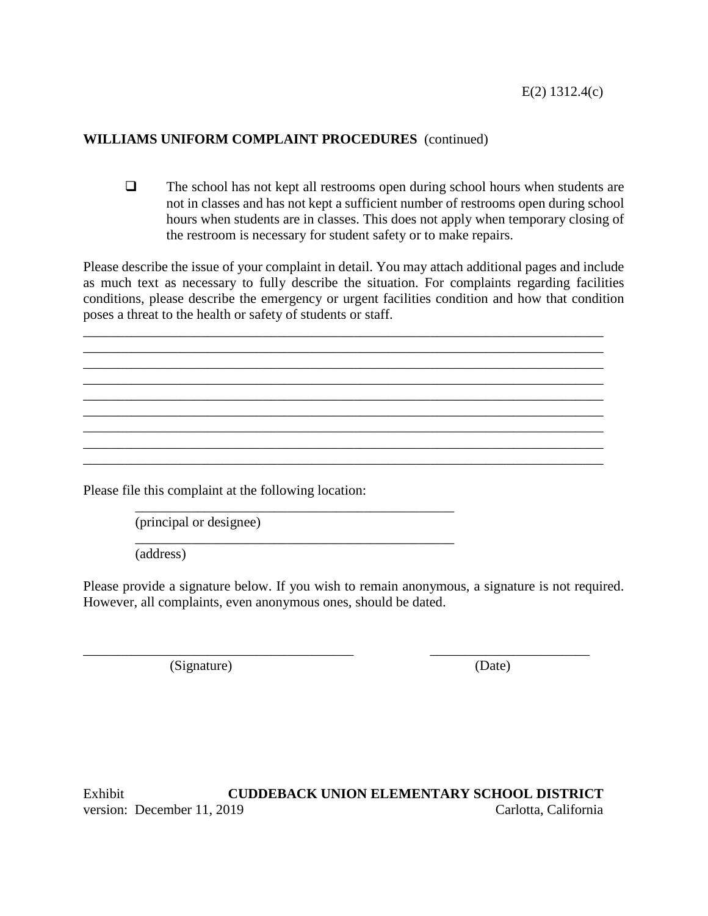$\Box$  The school has not kept all restrooms open during school hours when students are not in classes and has not kept a sufficient number of restrooms open during school hours when students are in classes. This does not apply when temporary closing of the restroom is necessary for student safety or to make repairs.

Please describe the issue of your complaint in detail. You may attach additional pages and include as much text as necessary to fully describe the situation. For complaints regarding facilities conditions, please describe the emergency or urgent facilities condition and how that condition poses a threat to the health or safety of students or staff.

\_\_\_\_\_\_\_\_\_\_\_\_\_\_\_\_\_\_\_\_\_\_\_\_\_\_\_\_\_\_\_\_\_\_\_\_\_\_\_\_\_\_\_\_\_\_\_\_\_\_\_\_\_\_\_\_\_\_\_\_\_\_\_\_\_\_\_\_\_\_\_\_\_\_\_

\_\_\_\_\_\_\_\_\_\_\_\_\_\_\_\_\_\_\_\_\_\_\_\_\_\_\_\_\_\_\_\_\_\_\_\_\_\_\_\_\_\_\_\_\_\_\_\_\_\_\_\_\_\_\_\_\_\_\_\_\_\_\_\_\_\_\_\_\_\_\_\_\_\_\_ \_\_\_\_\_\_\_\_\_\_\_\_\_\_\_\_\_\_\_\_\_\_\_\_\_\_\_\_\_\_\_\_\_\_\_\_\_\_\_\_\_\_\_\_\_\_\_\_\_\_\_\_\_\_\_\_\_\_\_\_\_\_\_\_\_\_\_\_\_\_\_\_\_\_\_ \_\_\_\_\_\_\_\_\_\_\_\_\_\_\_\_\_\_\_\_\_\_\_\_\_\_\_\_\_\_\_\_\_\_\_\_\_\_\_\_\_\_\_\_\_\_\_\_\_\_\_\_\_\_\_\_\_\_\_\_\_\_\_\_\_\_\_\_\_\_\_\_\_\_\_ \_\_\_\_\_\_\_\_\_\_\_\_\_\_\_\_\_\_\_\_\_\_\_\_\_\_\_\_\_\_\_\_\_\_\_\_\_\_\_\_\_\_\_\_\_\_\_\_\_\_\_\_\_\_\_\_\_\_\_\_\_\_\_\_\_\_\_\_\_\_\_\_\_\_\_

\_\_\_\_\_\_\_\_\_\_\_\_\_\_\_\_\_\_\_\_\_\_\_\_\_\_\_\_\_\_\_\_\_\_\_\_\_\_\_\_\_\_\_\_\_\_\_\_\_\_\_\_\_\_\_\_\_\_\_\_\_\_\_\_\_\_\_\_\_\_\_\_\_\_\_ \_\_\_\_\_\_\_\_\_\_\_\_\_\_\_\_\_\_\_\_\_\_\_\_\_\_\_\_\_\_\_\_\_\_\_\_\_\_\_\_\_\_\_\_\_\_\_\_\_\_\_\_\_\_\_\_\_\_\_\_\_\_\_\_\_\_\_\_\_\_\_\_\_\_\_

\_\_\_\_\_\_\_\_\_\_\_\_\_\_\_\_\_\_\_\_\_\_\_\_\_\_\_\_\_\_\_\_\_\_\_\_\_\_\_\_\_\_\_\_\_\_

\_\_\_\_\_\_\_\_\_\_\_\_\_\_\_\_\_\_\_\_\_\_\_\_\_\_\_\_\_\_\_\_\_\_\_\_\_\_\_ \_\_\_\_\_\_\_\_\_\_\_\_\_\_\_\_\_\_\_\_\_\_\_

Please file this complaint at the following location:

\_\_\_\_\_\_\_\_\_\_\_\_\_\_\_\_\_\_\_\_\_\_\_\_\_\_\_\_\_\_\_\_\_\_\_\_\_\_\_\_\_\_\_\_\_\_ (principal or designee)

(address)

Please provide a signature below. If you wish to remain anonymous, a signature is not required. However, all complaints, even anonymous ones, should be dated.

(Signature) (Date)

Exhibit **CUDDEBACK UNION ELEMENTARY SCHOOL DISTRICT** version: December 11, 2019 Carlotta, California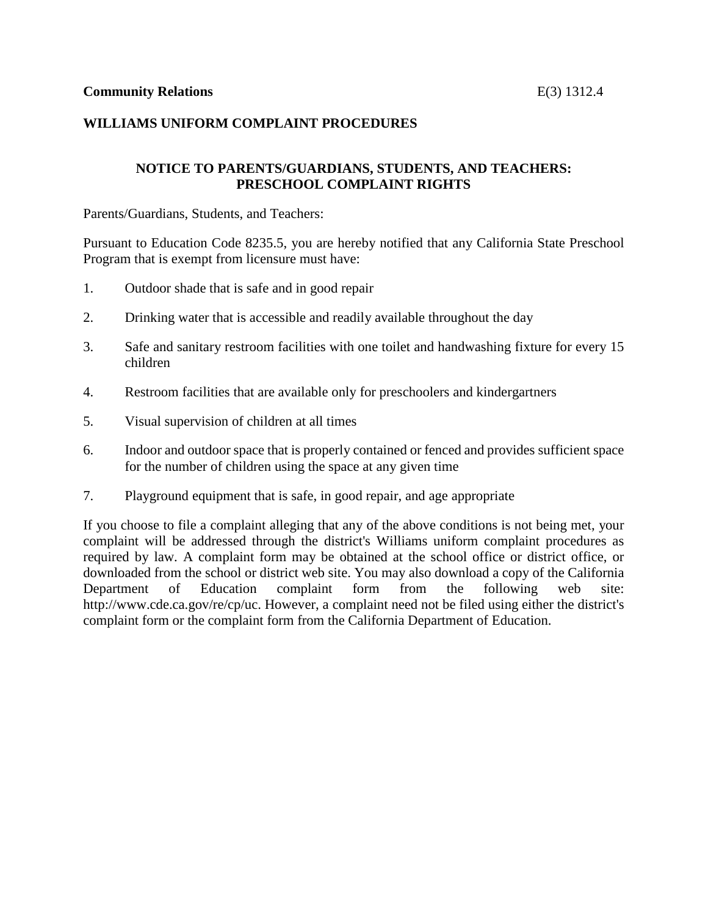### **NOTICE TO PARENTS/GUARDIANS, STUDENTS, AND TEACHERS: PRESCHOOL COMPLAINT RIGHTS**

Parents/Guardians, Students, and Teachers:

Pursuant to Education Code 8235.5, you are hereby notified that any California State Preschool Program that is exempt from licensure must have:

- 1. Outdoor shade that is safe and in good repair
- 2. Drinking water that is accessible and readily available throughout the day
- 3. Safe and sanitary restroom facilities with one toilet and handwashing fixture for every 15 children
- 4. Restroom facilities that are available only for preschoolers and kindergartners
- 5. Visual supervision of children at all times
- 6. Indoor and outdoor space that is properly contained or fenced and provides sufficient space for the number of children using the space at any given time
- 7. Playground equipment that is safe, in good repair, and age appropriate

If you choose to file a complaint alleging that any of the above conditions is not being met, your complaint will be addressed through the district's Williams uniform complaint procedures as required by law. A complaint form may be obtained at the school office or district office, or downloaded from the school or district web site. You may also download a copy of the California Department of Education complaint form from the following web site: http://www.cde.ca.gov/re/cp/uc. However, a complaint need not be filed using either the district's complaint form or the complaint form from the California Department of Education.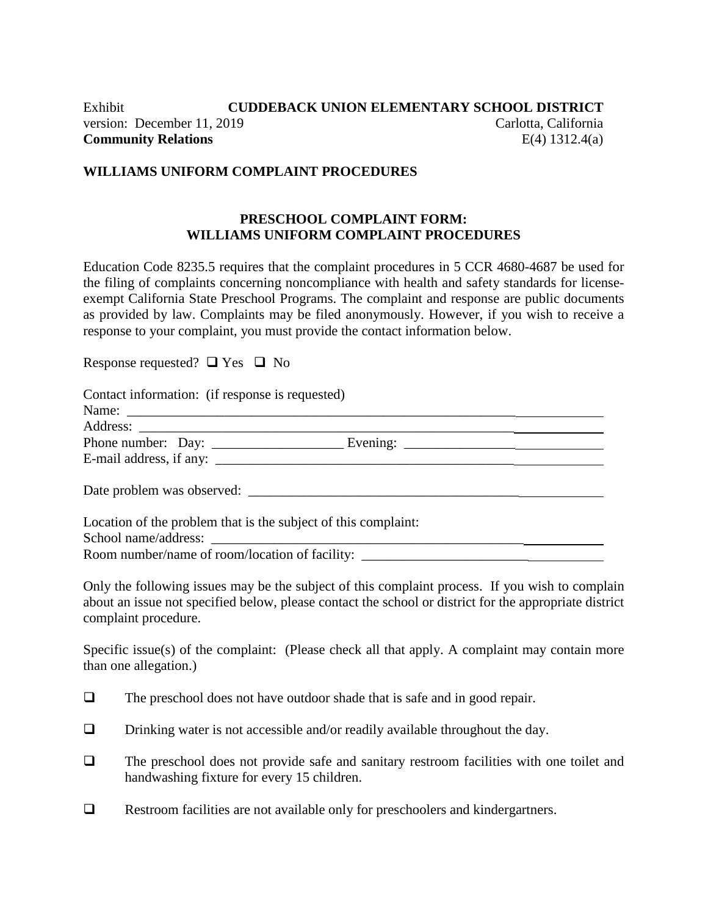# Exhibit **CUDDEBACK UNION ELEMENTARY SCHOOL DISTRICT** version: December 11, 2019 Carlotta, California **Community Relations** E(4) 1312.4(a)

### **WILLIAMS UNIFORM COMPLAINT PROCEDURES**

### **PRESCHOOL COMPLAINT FORM: WILLIAMS UNIFORM COMPLAINT PROCEDURES**

Education Code 8235.5 requires that the complaint procedures in 5 CCR 4680-4687 be used for the filing of complaints concerning noncompliance with health and safety standards for licenseexempt California State Preschool Programs. The complaint and response are public documents as provided by law. Complaints may be filed anonymously. However, if you wish to receive a response to your complaint, you must provide the contact information below.

Response requested?  $\Box$  Yes  $\Box$  No

| Contact information: (if response is requested)                                  |  |  |
|----------------------------------------------------------------------------------|--|--|
|                                                                                  |  |  |
|                                                                                  |  |  |
|                                                                                  |  |  |
|                                                                                  |  |  |
| Date problem was observed:                                                       |  |  |
| Location of the problem that is the subject of this complaint:                   |  |  |
|                                                                                  |  |  |
| Room number/name of room/location of facility: _________________________________ |  |  |

Only the following issues may be the subject of this complaint process. If you wish to complain about an issue not specified below, please contact the school or district for the appropriate district complaint procedure.

Specific issue(s) of the complaint: (Please check all that apply. A complaint may contain more than one allegation.)

- $\Box$  The preschool does not have outdoor shade that is safe and in good repair.
- $\Box$  Drinking water is not accessible and/or readily available throughout the day.
- $\Box$  The preschool does not provide safe and sanitary restroom facilities with one toilet and handwashing fixture for every 15 children.
- □ Restroom facilities are not available only for preschoolers and kindergartners.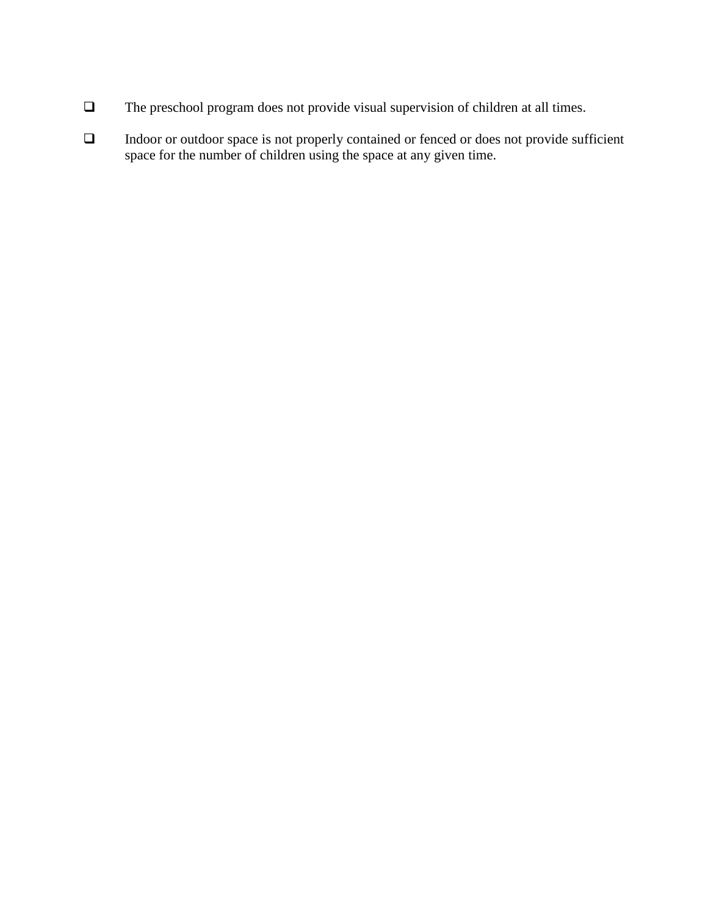- The preschool program does not provide visual supervision of children at all times.
- Indoor or outdoor space is not properly contained or fenced or does not provide sufficient space for the number of children using the space at any given time.